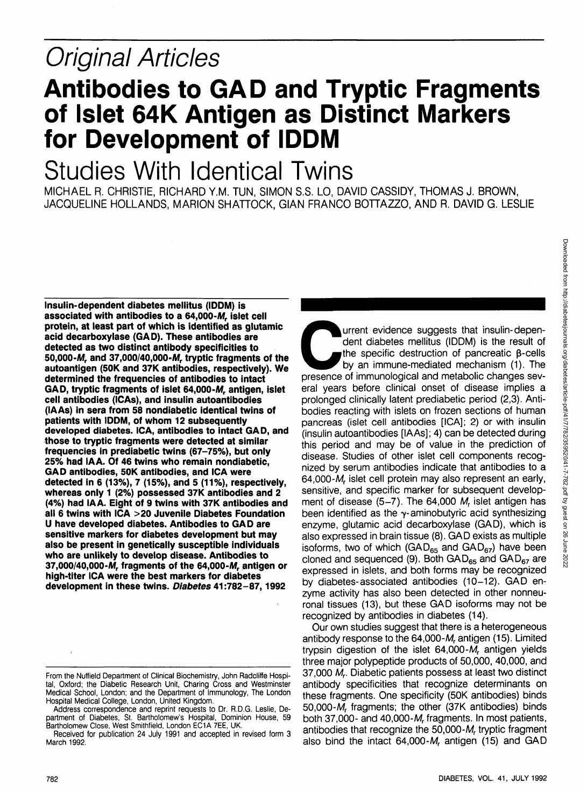# Original Articles

### **Antibodies to GAD and Tryptic Fragments of Islet 64K Antigen as Distinct Markers for Development of IDDM**

## Studies With Identical Twins

MICHAEL R. CHRISTIE, RICHARD Y.M. TUN, SIMON S.S. LO, DAVID CASSIDY, THOMAS J. BROWN, JACQUELINE HOLLANDS, MARION SHATTOCK, GIAN FRANCO BOTTAZZO, AND R. DAVID G. LESLIE

**Insulin-dependent diabetes mellitus (IDDM) is** associated with antibodies to a 64,000-M, islet cell **protein, at least part of which is identified as glutamic acid decarboxylase (GAD). These antibodies are detected as two distinct antibody specificities to** 50,000-*M*, and 37,000/40,000-*M*, tryptic fragments of the **autoantigen (50K and 37K antibodies, respectively). We determined the frequencies of antibodies to intact** GAD, tryptic fragments of islet 64,000-M, antigen, islet **cell antibodies (ICAs), and insulin autoantibodies (lAAs) in sera from 58 nondiabetic identical twins of patients with IDDM, of whom 12 subsequently developed diabetes. ICA, antibodies to intact GAD, and those to tryptic fragments were detected at similar frequencies in prediabetic twins (67-75%), but only 25% had IA A. Of 46 twins who remain nondiabetic, GAD antibodies, 50K antibodies, and ICA were detected in 6 (13%), 7 (15%), and 5 (11%), respectively, whereas only 1 (2%) possessed 37K antibodies and 2 (4%) had IAA. Eight of 9 twins with 37K antibodies and all 6 twins with ICA >20 Juvenile Diabetes Foundation U have developed diabetes. Antibodies to GAD are sensitive markers for diabetes development but may also be present in genetically susceptible individuals who are unlikely to develop disease. Antibodies to 37,000/40,000-Mr fragments of the 64,000-Mr antigen or high-titer ICA were the best markers for diabetes development in these twins. Diabetes 41:782-87,1992**

Lurrent evidence suggests that insulin-dependent diabetes mellitus (IDDM) is the result of the specific destruction of pancreatic β-cells by an immune-mediated mechanism (1). The presence of immunological and metabolic ch dent diabetes mellitus (IDDM) is the result of the specific destruction of pancreatic  $\beta$ -cells by an immune-mediated mechanism (1). The eral years before clinical onset of disease implies a prolonged clinically latent prediabetic period (2,3). Antibodies reacting with islets on frozen sections of human pancreas (islet cell antibodies [ICA]; 2) or with insulin (insulin autoantibodies [lAAs]; 4) can be detected during this period and may be of value in the prediction of disease. Studies of other islet cell components recognized by serum antibodies indicate that antibodies to a 64,000-M, islet cell protein may also represent an early, sensitive, and specific marker for subsequent development of disease  $(5-7)$ . The 64,000 M<sub>r</sub> islet antigen has been identified as the  $\gamma$ -aminobutyric acid synthesizing enzyme, glutamic acid decarboxylase (GAD), which is also expressed in brain tissue (8). GAD exists as multiple isoforms, two of which (GAD $_{65}$  and GAD $_{67}$ ) have been cloned and sequenced (9). Both GAD $_{65}$  and GAD $_{67}$  are expressed in islets, and both forms may be recognized by diabetes-associated antibodies (10-12). GAD enzyme activity has also been detected in other nonneuronal tissues (13), but these GAD isoforms may not be recognized by antibodies in diabetes (14).

Our own studies suggest that there is a heterogeneous antibody response to the  $64,000-M<sub>r</sub>$  antigen (15). Limited trypsin digestion of the islet  $64,000-M<sub>r</sub>$  antigen yields three major polypeptide products of 50,000, 40,000, and 37,000 M<sub>r</sub>. Diabetic patients possess at least two distinct antibody specificities that recognize determinants on these fragments. One specificity (50K antibodies) binds 50,000-M, fragments; the other (37K antibodies) binds both 37,000- and 40,000- $M<sub>r</sub>$  fragments. In most patients, antibodies that recognize the 50,000-M, tryptic fragment also bind the intact  $64,000-M<sub>r</sub>$  antigen (15) and GAD

From the Nuffield Department of Clinical Biochemistry, John Radcliffe Hospital, Oxford; the Diabetic Research Unit, Charing Cross and Westminster Medical School, London; and the Department of Immunology, The London Hospital Medical College, London, United Kingdom.

Address correspondence and reprint requests to Dr. R.D.G. Leslie, Department of Diabetes, St. Bartholomew's Hospital, Dominion House, 59 Bartholomew Close, West Smithfield, London EC1A 7EE, UK.

Received for publication 24 July 1991 and accepted in revised form 3 March 1992.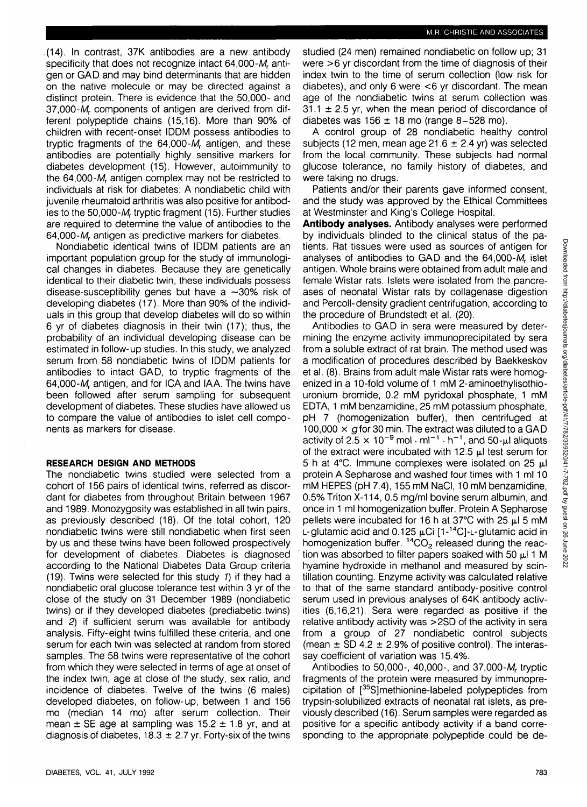.(14). In contrast, 37K antibodies are a new antibody specificity that does not recognize intact 64,000-M, antigen or GAD and may bind determinants that are hidden on the native molecule or may be directed against a distinct protein. There is evidence that the 50,000- and 37,000-M, components of antigen are derived from different polypeptide chains (15,16). More than 90% of children with recent-onset IDDM possess antibodies to tryptic fragments of the  $64,000-M<sub>r</sub>$  antigen, and these antibodies are potentially highly sensitive markers for diabetes development (15). However, autoimmunity to the 64,000-M, antigen complex may not be restricted to individuals at risk for diabetes: A nondiabetic child with juvenile rheumatoid arthritis was also positive for antibodies to the 50,000-M, tryptic fragment (15). Further studies are required to determine the value of antibodies to the  $64,000-M<sub>r</sub>$  antigen as predictive markers for diabetes.

Nondiabetic identical twins of IDDM patients are an important population group for the study of immunological changes in diabetes. Because they are genetically identical to their diabetic twin, these individuals possess disease-susceptibility genes but have a  $\sim$ 30% risk of developing diabetes (17). More than 90% of the individuals in this group that develop diabetes will do so within 6 yr of diabetes diagnosis in their twin (17); thus, the probability of an individual developing disease can be estimated in follow-up studies. In this study, we analyzed serum from 58 nondiabetic twins of IDDM patients for antibodies to intact GAD, to tryptic fragments of the 64,000-M, antigen, and for ICA and IAA. The twins have been followed after serum sampling for subsequent development of diabetes. These studies have allowed us to compare the value of antibodies to islet cell components as markers for disease.

#### **RESEARCH DESIGN AND METHODS**

The nondiabetic twins studied were selected from a cohort of 156 pairs of identical twins, referred as discordant for diabetes from throughout Britain between 1967 and 1989. Monozygosity was established in all twin pairs, as previously described (18). Of the total cohort, 120 nondiabetic twins were still nondiabetic when first seen by us and these twins have been followed prospectively for development of diabetes. Diabetes is diagnosed according to the National Diabetes Data Group criteria (19). Twins were selected for this study 1) if they had a nondiabetic oral glucose tolerance test within 3 yr of the close of the study on 31 December 1989 (nondiabetic twins) or if they developed diabetes (prediabetic twins) and 2) if sufficient serum was available for antibody analysis. Fifty-eight twins fulfilled these criteria, and one serum for each twin was selected at random from stored samples. The 58 twins were representative of the cohort from which they were selected in terms of age at onset of the index twin, age at close of the study, sex ratio, and incidence of diabetes. Twelve of the twins (6 males) developed diabetes, on follow-up, between 1 and 156 mo (median 14 mo) after serum collection. Their mean  $\pm$  SE age at sampling was 15.2  $\pm$  1.8 yr, and at diagnosis of diabetes, 18.3  $\pm$  2.7 yr. Forty-six of the twins

studied (24 men) remained nondiabetic on follow up; 31 were  $>6$  yr discordant from the time of diagnosis of their index twin to the time of serum collection (low risk for diabetes), and only 6 were  $<6$  yr discordant. The mean age of the nondiabetic twins at serum collection was  $31.1 \pm 2.5$  yr, when the mean period of discordance of diabetes was  $156 \pm 18$  mo (range 8-528 mo).

A control group of 28 nondiabetic healthy control subjects (12 men, mean age 21.6  $\pm$  2.4 yr) was selected from the local community. These subjects had normal glucose tolerance, no family history of diabetes, and were taking no drugs.

Patients and/or their parents gave informed consent, and the study was approved by the Ethical Committees at Westminster and King's College Hospital.

**Antibody analyses.** Antibody analyses were performed by individuals blinded to the clinical status of the patients. Rat tissues were used as sources of antigen for analyses of antibodies to GAD and the  $64,000-M<sub>r</sub>$  islet antigen. Whole brains were obtained from adult male and female Wistar rats. Islets were isolated from the pancreases of neonatal Wistar rats by collagenase digestion and Percoll-density gradient centrifugation, according to the procedure of Brundstedt et al. (20).

Antibodies to GAD in sera were measured by determining the enzyme activity immunoprecipitated by sera from a soluble extract of rat brain. The method used was a modification of procedures described by Baekkeskov et al. (8). Brains from adult male Wistar rats were homogenized in a 10-fold volume of 1 mM 2-aminoethylisothiouronium bromide, 0.2 mM pyridoxal phosphate, 1 mM EDTA, 1 mM benzamidine, 25 mM potassium phosphate, pH 7 (homogenization buffer), then centrifuged at 100,000  $\times$  g for 30 min. The extract was diluted to a GAD activity of 2.5  $\times$  10<sup>-9</sup> mol  $\cdot$  ml<sup>-1</sup>  $\cdot$  h<sup>-1</sup>, and 50-µl aliquots of the extract were incubated with 12.5  $\mu$  test serum for 5 h at 4 $\degree$ C. Immune complexes were isolated on 25  $\mu$ l protein A Sepharose and washed four times with 1 ml 10 mM HEPES (pH 7.4), 155 mM NaCI, 10 mM benzamidine, 0.5% Triton X-114, 0.5 mg/ml bovine serum albumin, and once in 1 ml homogenization buffer. Protein A Sepharose pellets were incubated for 16 h at 37 $\degree$ C with 25  $\mu$ l 5 mM L-glutamic acid and 0.125 **jxCi** [1-14C]-L-glutamic acid in homogenization buffer. <sup>14</sup>CO<sub>2</sub> released during the reaction was absorbed to filter papers soaked with 50  $\mu$ l 1 M hyamine hydroxide in methanol and measured by scintillation counting. Enzyme activity was calculated relative to that of the same standard antibody-positive control serum used in previous analyses of 64K antibody activities (6,16,21). Sera were regarded as positive if the relative antibody activity was >2SD of the activity in sera from a group of 27 nondiabetic control subjects (mean  $\pm$  SD 4.2  $\pm$  2.9% of positive control). The interassay coefficient of variation was 15.4%.

Antibodies to 50,000-, 40,000-, and 37,000- $M_r$  tryptic fragments of the protein were measured by immunoprecipitation of [35S]methionine-labeled polypeptides from trypsin-solubilized extracts of neonatal rat islets, as previously described (16). Serum samples were regarded as positive for a specific antibody activity if a band corresponding to the appropriate polypeptide could be de-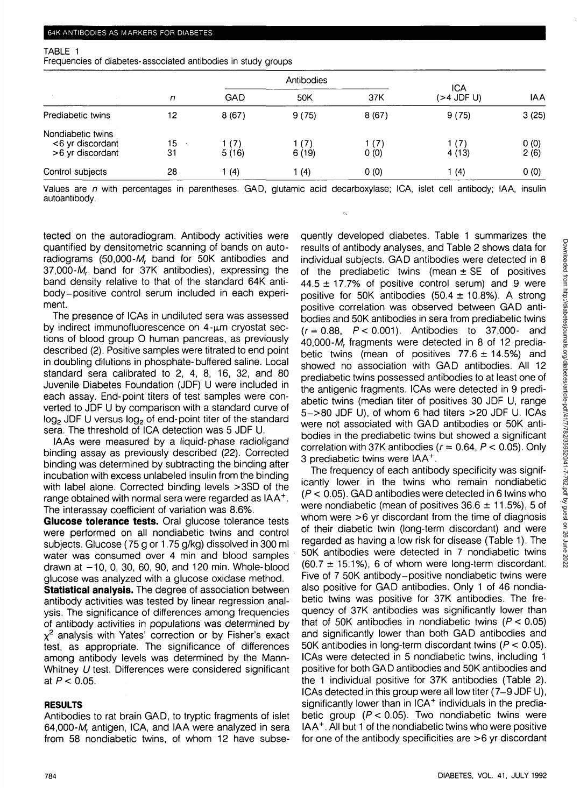#### TABLE 1

Frequencies of diabetes-associated antibodies in study groups

|                                                           |          |                | Antibodies      |               |                   |              |
|-----------------------------------------------------------|----------|----------------|-----------------|---------------|-------------------|--------------|
|                                                           | n        | GAD            | 50K             | 37K           | ICA<br>(>4 JDF U) | <b>IAA</b>   |
| Prediabetic twins                                         | 12       | 8(67)          | 9(75)           | 8(67)         | 9(75)             | 3(25)        |
| Nondiabetic twins<br><6 yr discordant<br>>6 yr discordant | 15<br>31 | 1 (7)<br>5(16) | 1 (7)<br>6 (19) | 1 (7)<br>0(0) | 1 (7)<br>4(13)    | 0(0)<br>2(6) |
| Control subjects                                          | 28       | (4)            | (4)             | 0(0)          | 1(4)              | 0(0)         |

Values are n with percentages in parentheses. GAD, glutamic acid decarboxylase; ICA, islet cell antibody; IAA, insulin autoantibody.

tected on the autoradiogram. Antibody activities were quantified by densitometric scanning of bands on autoradiograms (50,000- $M_r$  band for 50K antibodies and 37,000-M, band for 37K antibodies), expressing the band density relative to that of the standard 64K antibody-positive control serum included in each experiment.

The presence of ICAs in undiluted sera was assessed by indirect immunofluorescence on  $4-\mu m$  cryostat sections of blood group O human pancreas, as previously described (2). Positive samples were titrated to end point in doubling dilutions in phosphate-buffered saline. Local standard sera calibrated to 2, 4, 8, 16, 32, and 80 Juvenile Diabetes Foundation (JDF) U were included in each assay. End-point titers of test samples were converted to JDF U by comparison with a standard curve of  $log<sub>2</sub>$  JDF U versus  $log<sub>2</sub>$  of end-point titer of the standard sera. The threshold of ICA detection was 5 JDF U.

IA As were measured by a liquid-phase radioligand binding assay as previously described (22). Corrected binding was determined by subtracting the binding after incubation with excess unlabeled insulin from the binding with label alone. Corrected binding levels >3SD of the range obtained with normal sera were regarded as IAA<sup>+</sup>. The interassay coefficient of variation was 8.6%.

**Glucose tolerance tests.** Oral glucose tolerance tests were performed on all nondiabetic twins and control subjects. Glucose (75 g or 1.75 g/kg) dissolved in 300 ml water was consumed over 4 min and blood samples drawn at  $-10$ , 0, 30, 60, 90, and 120 min. Whole-blood glucose was analyzed with a glucose oxidase method.

**Statistical analysis.** The degree of association between antibody activities was tested by linear regression analysis. The significance of differences among frequencies of antibody activities in populations was determined by  $\chi^2$  analysis with Yates' correction or by Fisher's exact test, as appropriate. The significance of differences among antibody levels was determined by the Mann-Whitney U test. Differences were considered significant at  $P < 0.05$ .

### **RESULTS**

Antibodies to rat brain GAD, to tryptic fragments of islet 64,000-Mr antigen, ICA, and IAA were analyzed in sera from 58 nondiabetic twins, of whom 12 have subsequently developed diabetes. Table 1 summarizes the results of antibody analyses, and Table 2 shows data for individual subjects. GAD antibodies were detected in 8 of the prediabetic twins (mean  $\pm$  SE of positives  $44.5 \pm 17.7$ % of positive control serum) and 9 were positive for 50K antibodies (50.4  $\pm$  10.8%). A strong positive correlation was observed between GAD antibodies and 50K antibodies in sera from prediabetic twins  $(r = 0.88, P < 0.001)$ . Antibodies to 37,000- and 40,000-M<sub>r</sub> fragments were detected in 8 of 12 prediabetic twins (mean of positives  $77.6 \pm 14.5$ %) and showed no association with GAD antibodies. All 12 prediabetic twins possessed antibodies to at least one of the antigenic fragments. ICAs were detected in 9 prediabetic twins (median titer of positives 30 JDF U, range 5->80 JDF U), of whom 6 had titers >20 JDF U. ICAs were not associated with GAD antibodies or 50K antibodies in the prediabetic twins but showed a significant correlation with 37K antibodies ( $r = 0.64$ ,  $P < 0.05$ ). Only 3 prediabetic twins were IAA<sup>+</sup> .

The frequency of each antibody specificity was significantly lower in the twins who remain nondiabetic  $(P < 0.05)$ . GAD antibodies were detected in 6 twins who were nondiabetic (mean of positives  $36.6 \pm 11.5$ %), 5 of whom were >6 yr discordant from the time of diagnosis of their diabetic twin (long-term discordant) and were regarded as having a low risk for disease (Table 1). The 50K antibodies were detected in 7 nondiabetic twins  $(60.7 \pm 15.1\%)$ , 6 of whom were long-term discordant. Five of 7 50K antibody-positive nondiabetic twins were also positive for GAD antibodies. Only 1 of 46 nondiabetic twins was positive for 37K antibodies. The frequency of 37K antibodies was significantly lower than that of 50K antibodies in nondiabetic twins  $(P < 0.05)$ and significantly lower than both GAD antibodies and 50K antibodies in long-term discordant twins ( $P < 0.05$ ). ICAs were detected in 5 nondiabetic twins, including 1 positive for both GAD antibodies and 50K antibodies and the 1 individual positive for 37K antibodies (Table 2). ICAs detected in this group were all low titer (7-9 JDF U), significantly lower than in ICA+ individuals in the prediabetic group  $(P < 0.05)$ . Two nondiabetic twins were IAA<sup>+</sup> . All but 1 of the nondiabetic twins who were positive for one of the antibody specificities are >6 yr discordant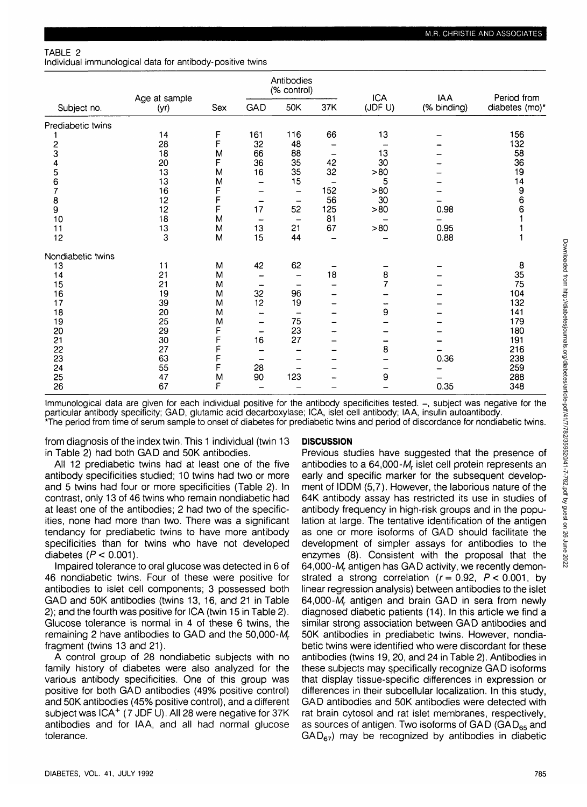TABLE 2

Individual immunological data for antibody-positive twins

|                   | Age at sample<br>(yr) | Sex | Antibodies<br>(% control) |                          | <b>ICA</b>               | <b>IAA</b>     | Period from |                |
|-------------------|-----------------------|-----|---------------------------|--------------------------|--------------------------|----------------|-------------|----------------|
| Subject no.       |                       |     | GAD                       | 50K                      | 37K                      | (JDF U)        | (% binding) | diabetes (mo)* |
| Prediabetic twins |                       |     |                           |                          |                          |                |             |                |
|                   | 14                    | F   | 161                       | 116                      | 66                       | 13             |             | 156            |
| 2                 | 28                    | F   | 32                        | 48                       |                          |                |             | 132            |
| 3                 | 18                    | M   | 66                        | 88                       | -                        | 13             |             | 58             |
| 4                 | 20                    | F   | 36                        | 35                       | 42                       | 30             |             | 36             |
| 5                 | 13                    | M   | 16                        | 35                       | 32                       | >80            |             | 19             |
| 6                 | 13                    | M   | -                         | 15                       |                          | 5              |             | 14             |
| 7                 | 16                    | F   |                           | $\qquad \qquad$          | 152                      | >80            |             | 9              |
| 8                 | 12                    | F   | -                         | <b>-</b>                 | 56                       | 30             |             | 6              |
| 9                 | 12                    | F   | 17                        | 52                       | 125                      | >80            | 0.98        | 6              |
| 10                | 18                    | M   | -                         | $\overline{\phantom{0}}$ | 81                       |                |             |                |
| 11                | 13                    | M   | 13                        | 21                       | 67                       | >80            | 0.95        |                |
| 12                | 3                     | M   | 15                        | 44                       | ┈                        |                | 0.88        |                |
| Nondiabetic twins |                       |     |                           |                          |                          |                |             |                |
| 13                | 11                    | M   | 42                        | 62                       | -                        |                |             | 8              |
| 14                | 21                    | M   |                           |                          | 18                       | 8              |             | 35             |
| 15                | 21                    | M   |                           |                          |                          | $\overline{7}$ |             | 75             |
| 16                | 19                    | M   | 32                        | 96                       | -                        |                |             | 104            |
| 17                | 39                    | M   | 12                        | 19                       | -                        |                |             | 132            |
| 18                | 20                    | M   | --                        | -                        | -                        | 9              |             | 141            |
| 19                | 25                    | M   | -                         | 75                       | -                        |                |             | 179            |
| 20                | 29                    | F   | $\overline{\phantom{0}}$  | 23                       | -                        |                |             | 180            |
| 21                | 30                    | F   | 16                        | 27                       | $\overline{\phantom{0}}$ | -              |             | 191            |
| 22                | 27                    | F   |                           |                          | -                        | 8              | -           | 216            |
| 23                | 63                    | F   | -                         |                          | -                        |                | 0.36        | 238            |
| 24                | 55                    | F   | 28                        | -                        | $\overline{\phantom{0}}$ | -              |             | 259            |
| 25                | 47                    | M   | 90                        | 123                      | -                        | 9              |             | 288            |
| 26                | 67                    | F   |                           |                          |                          |                | 0.35        | 348            |

Immunological data are given for each individual positive for the antibody specificities tested. -, subject was negative for the particular antibody specificity; GAD, glutamic acid decarboxylase; ICA, islet cell antibody; IAA, insulin autoantibody. \*The period from time of serum sample to onset of diabetes for prediabetic twins and period of discordance for nondiabetic twins.

from diagnosis of the index twin. This 1 individual (twin 13 in Table 2) had both GAD and 50K antibodies.

All 12 prediabetic twins had at least one of the five antibody specificities studied; 10 twins had two or more and 5 twins had four or more specificities (Table 2). In contrast, only 13 of 46 twins who remain nondiabetic had at least one of the antibodies; 2 had two of the specificities, none had more than two. There was a significant tendancy for prediabetic twins to have more antibody specificities than for twins who have not developed diabetes  $(P < 0.001)$ .

Impaired tolerance to oral glucose was detected in 6 of 46 nondiabetic twins. Four of these were positive for antibodies to islet cell components; 3 possessed both GAD and 50K antibodies (twins 13, 16, and 21 in Table 2); and the fourth was positive for ICA (twin 15 in Table 2). Glucose tolerance is normal in 4 of these 6 twins, the remaining 2 have antibodies to GAD and the  $50,000-M_r$ fragment (twins 13 and 21).

A control group of 28 nondiabetic subjects with no family history of diabetes were also analyzed for the various antibody specificities. One of this group was positive for both GAD antibodies (49% positive control) and 50K antibodies (45% positive control), and a different subject was ICA<sup>+</sup> (7 JDF U). All 28 were negative for 37K antibodies and for IAA, and all had normal glucose tolerance.

#### **DISCUSSION**

Previous studies have suggested that the presence of antibodies to a  $64,000-M<sub>r</sub>$  islet cell protein represents an early and specific marker for the subsequent development of IDDM (5,7). However, the laborious nature of the 64K antibody assay has restricted its use in studies of antibody frequency in high-risk groups and in the population at large. The tentative identification of the antigen as one or more isoforms of GAD should facilitate the development of simpler assays for antibodies to the enzymes (8). Consistent with the proposal that the 64,000-M, antigen has GAD activity, we recently demonstrated a strong correlation ( $r = 0.92$ ,  $P < 0.001$ , by linear regression analysis) between antibodies to the islet 64,000-Mr antigen and brain GAD in sera from newly diagnosed diabetic patients (14). In this article we find a similar strong association between GAD antibodies and 50K antibodies in prediabetic twins. However, nondiabetic twins were identified who were discordant for these antibodies (twins 19, 20, and 24 in Table 2). Antibodies in these subjects may specifically recognize GAD isoforms that display tissue-specific differences in expression or differences in their subcellular localization. In this study, GAD antibodies and 50K antibodies were detected with rat brain cytosol and rat islet membranes, respectively, as sources of antigen. Two isoforms of  $GAD$  ( $GAD_{65}$  and  $GAD_{67}$ ) may be recognized by antibodies in diabetic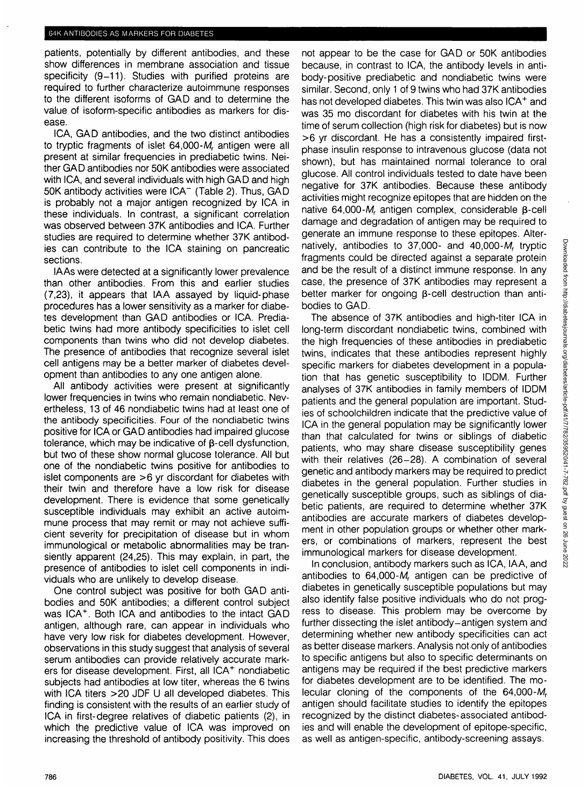patients, potentially by different antibodies, and these show differences in membrane association and tissue specificity (9-11). Studies with purified proteins are required to further characterize autoimmune responses to the different isoforms of GAD and to determine the value of isoform-specific antibodies as markers for disease.

ICA, GAD antibodies, and the two distinct antibodies to tryptic fragments of islet 64,000-M, antigen were all present at similar frequencies in prediabetic twins. Neither GAD antibodies nor 50K antibodies were associated with ICA, and several individuals with high GAD and high 50K antibody activities were ICA" (Table 2). Thus, GAD is probably not a major antigen recognized by ICA in these individuals. In contrast, a significant correlation was observed between 37K antibodies and ICA. Further studies are required to determine whether 37K antibodies can contribute to the ICA staining on pancreatic sections.

lAAs were detected at a significantly lower prevalence than other antibodies. From this and earlier studies (7,23), it appears that IAA assayed by liquid-phase procedures has a lower sensitivity as a marker for diabetes development than GAD antibodies or ICA. Prediabetic twins had more antibody specificities to islet cell components than twins who did not develop diabetes. The presence of antibodies that recognize several islet cell antigens may be a better marker of diabetes development than antibodies to any one antigen alone.

All antibody activities were present at significantly lower frequencies in twins who remain nondiabetic. Nevertheless, 13 of 46 nondiabetic twins had at least one of the antibody specificities. Four of the nondiabetic twins positive for ICA or GAD antibodies had impaired glucose tolerance, which may be indicative of  $\beta$ -cell dysfunction, but two of these show normal glucose tolerance. All but one of the nondiabetic twins positive for antibodies to islet components are >6 yr discordant for diabetes with their twin and therefore have a low risk for disease development. There is evidence that some genetically susceptible individuals may exhibit an active autoimmune process that may remit or may not achieve sufficient severity for precipitation of disease but in whom immunological or metabolic abnormalities may be transiently apparent (24,25). This may explain, in part, the presence of antibodies to islet cell components in individuals who are unlikely to develop disease.

One control subject was positive for both GAD antibodies and 50K antibodies; a different control subject was ICA<sup>+</sup> . Both ICA and antibodies to the intact GAD antigen, although rare, can appear in individuals who have very low risk for diabetes development. However, observations in this study suggest that analysis of several serum antibodies can provide relatively accurate markers for disease development. First, all ICA<sup>+</sup> nondiabetic subjects had antibodies at low titer, whereas the 6 twins with ICA titers >20 JDF U all developed diabetes. This finding is consistent with the results of an earlier study of ICA in first-degree relatives of diabetic patients (2), in which the predictive value of ICA was improved on increasing the threshold of antibody positivity. This does not appear to be the case for GAD or 50K antibodies because, in contrast to ICA, the antibody levels in antibody-positive prediabetic and nondiabetic twins were similar. Second, only 1 of 9 twins who had 37K antibodies has not developed diabetes. This twin was also ICA<sup>+</sup> and was 35 mo discordant for diabetes with his twin at the time of serum collection (high risk for diabetes) but is now >6 yr discordant. He has a consistently impaired firstphase insulin response to intravenous glucose (data not shown), but has maintained normal tolerance to oral glucose. All control individuals tested to date have been negative for 37K antibodies. Because these antibody activities might recognize epitopes that are hidden on the native  $64,000-M$ , antigen complex, considerable  $\beta$ -cell damage and degradation of antigen may be required to generate an immune response to these epitopes. Alternatively, antibodies to  $37,000$ - and  $40,000$ - $M$ , tryptic fragments could be directed against a separate protein and be the result of a distinct immune response. In any case, the presence of 37K antibodies may represent a better marker for ongoing B-cell destruction than antibodies to GAD.

The absence of 37K antibodies and high-titer ICA in long-term discordant nondiabetic twins, combined with the high frequencies of these antibodies in prediabetic twins, indicates that these antibodies represent highly specific markers for diabetes development in a population that has genetic susceptibility to IDDM. Further analyses of 37K antibodies in family members of IDDM patients and the general population are important. Studies of schoolchildren indicate that the predictive value of ICA in the general population may be significantly lower than that calculated for twins or siblings of diabetic patients, who may share disease susceptibility genes with their relatives (26-28). A combination of several genetic and antibody markers may be required to predict diabetes in the general population. Further studies in genetically susceptible groups, such as siblings of diabetic patients, are required to determine whether 37K antibodies are accurate markers of diabetes development in other population groups or whether other markers, or combinations of markers, represent the best immunological markers for disease development.

In conclusion, antibody markers such as ICA, IAA, and antibodies to  $64,000-M$ , antigen can be predictive of diabetes in genetically susceptible populations but may also identify false positive individuals who do not progress to disease. This problem may be overcome by further dissecting the islet antibody-antigen system and determining whether new antibody specificities can act as better disease markers. Analysis not only of antibodies to specific antigens but also to specific determinants on antigens may be required if the best predictive markers for diabetes development are to be identified. The molecular cloning of the components of the  $64,000-M_r$ antigen should facilitate studies to identify the epitopes recognized by the distinct diabetes-associated antibodies and will enable the development of epitope-specific, as well as antigen-specific, antibody-screening assays.